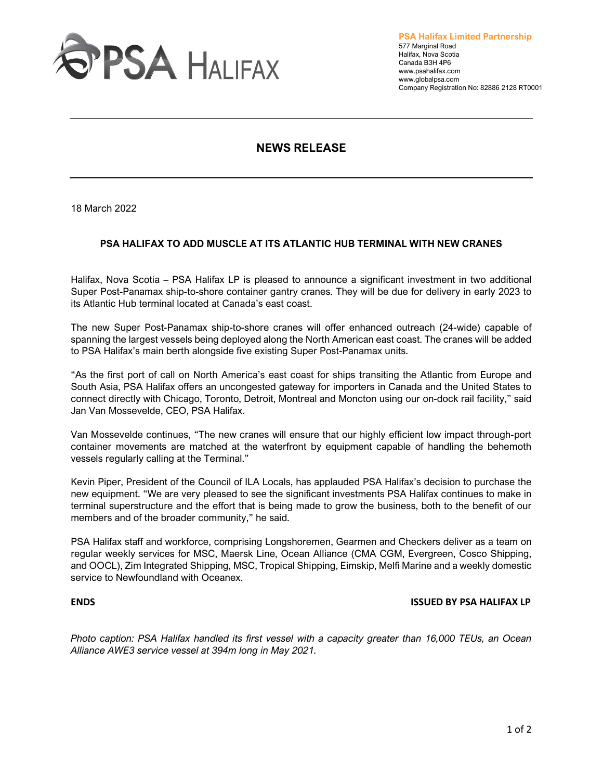

**PSA Halifax Limited Partnership** 577 Marginal Road Halifax, Nova Scotia Canada B3H 4P6 www.psahalifax.com www.globalpsa.com Company Registration No: 82886 2128 RT0001

# **NEWS RELEASE**

18 March 2022

# **PSA HALIFAX TO ADD MUSCLE AT ITS ATLANTIC HUB TERMINAL WITH NEW CRANES**

Halifax, Nova Scotia – PSA Halifax LP is pleased to announce a significant investment in two additional Super Post-Panamax ship-to-shore container gantry cranes. They will be due for delivery in early 2023 to its Atlantic Hub terminal located at Canada's east coast.

The new Super Post-Panamax ship-to-shore cranes will offer enhanced outreach (24-wide) capable of spanning the largest vessels being deployed along the North American east coast. The cranes will be added to PSA Halifax's main berth alongside five existing Super Post-Panamax units.

"As the first port of call on North America's east coast for ships transiting the Atlantic from Europe and South Asia, PSA Halifax offers an uncongested gateway for importers in Canada and the United States to connect directly with Chicago, Toronto, Detroit, Montreal and Moncton using our on-dock rail facility," said Jan Van Mossevelde, CEO, PSA Halifax.

Van Mossevelde continues, "The new cranes will ensure that our highly efficient low impact through-port container movements are matched at the waterfront by equipment capable of handling the behemoth vessels regularly calling at the Terminal."

Kevin Piper, President of the Council of ILA Locals, has applauded PSA Halifax's decision to purchase the new equipment. "We are very pleased to see the significant investments PSA Halifax continues to make in terminal superstructure and the effort that is being made to grow the business, both to the benefit of our members and of the broader community," he said.

PSA Halifax staff and workforce, comprising Longshoremen, Gearmen and Checkers deliver as a team on regular weekly services for MSC, Maersk Line, Ocean Alliance (CMA CGM, Evergreen, Cosco Shipping, and OOCL), Zim Integrated Shipping, MSC, Tropical Shipping, Eimskip, Melfi Marine and a weekly domestic service to Newfoundland with Oceanex.

### **ENDS ISSUED BY PSA HALIFAX LP**

*Photo caption: PSA Halifax handled its first vessel with a capacity greater than 16,000 TEUs, an Ocean Alliance AWE3 service vessel at 394m long in May 2021.*